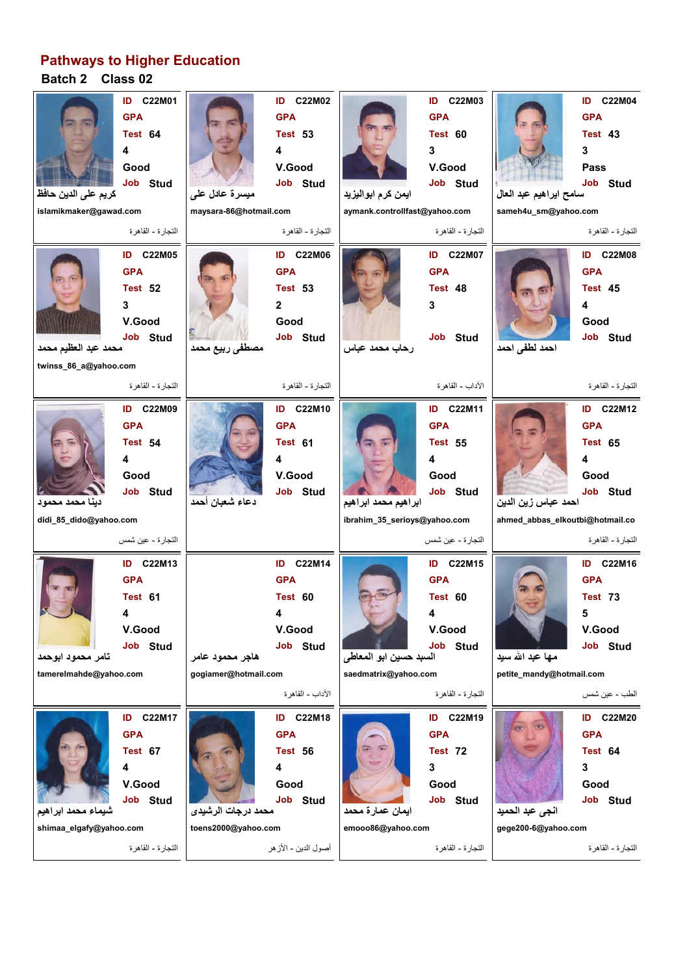## **Batch 2 Class 02 Pathways to Higher Education**